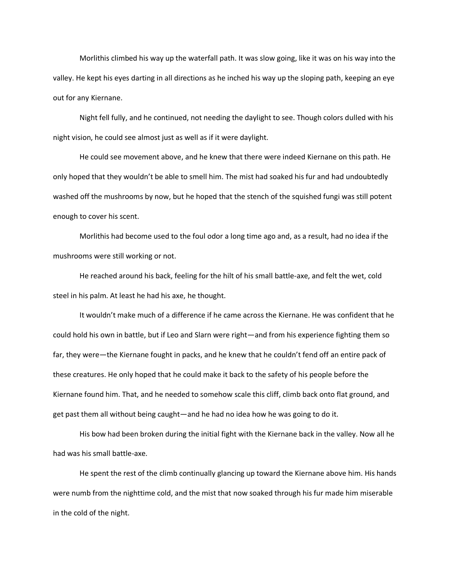Morlithis climbed his way up the waterfall path. It was slow going, like it was on his way into the valley. He kept his eyes darting in all directions as he inched his way up the sloping path, keeping an eye out for any Kiernane.

Night fell fully, and he continued, not needing the daylight to see. Though colors dulled with his night vision, he could see almost just as well as if it were daylight.

He could see movement above, and he knew that there were indeed Kiernane on this path. He only hoped that they wouldn't be able to smell him. The mist had soaked his fur and had undoubtedly washed off the mushrooms by now, but he hoped that the stench of the squished fungi was still potent enough to cover his scent.

Morlithis had become used to the foul odor a long time ago and, as a result, had no idea if the mushrooms were still working or not.

He reached around his back, feeling for the hilt of his small battle-axe, and felt the wet, cold steel in his palm. At least he had his axe, he thought.

It wouldn't make much of a difference if he came across the Kiernane. He was confident that he could hold his own in battle, but if Leo and Slarn were right—and from his experience fighting them so far, they were—the Kiernane fought in packs, and he knew that he couldn't fend off an entire pack of these creatures. He only hoped that he could make it back to the safety of his people before the Kiernane found him. That, and he needed to somehow scale this cliff, climb back onto flat ground, and get past them all without being caught—and he had no idea how he was going to do it.

His bow had been broken during the initial fight with the Kiernane back in the valley. Now all he had was his small battle-axe.

He spent the rest of the climb continually glancing up toward the Kiernane above him. His hands were numb from the nighttime cold, and the mist that now soaked through his fur made him miserable in the cold of the night.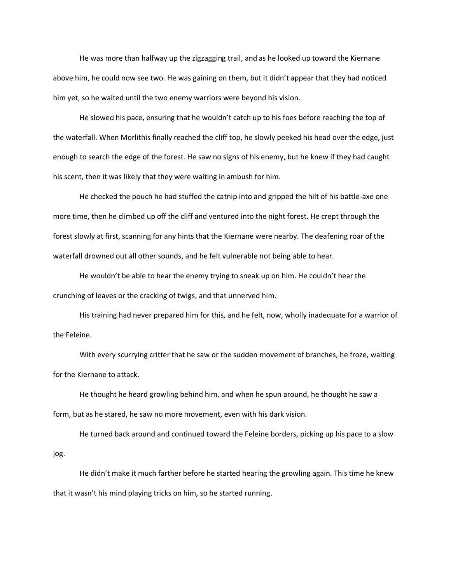He was more than halfway up the zigzagging trail, and as he looked up toward the Kiernane above him, he could now see two. He was gaining on them, but it didn't appear that they had noticed him yet, so he waited until the two enemy warriors were beyond his vision.

He slowed his pace, ensuring that he wouldn't catch up to his foes before reaching the top of the waterfall. When Morlithis finally reached the cliff top, he slowly peeked his head over the edge, just enough to search the edge of the forest. He saw no signs of his enemy, but he knew if they had caught his scent, then it was likely that they were waiting in ambush for him.

He checked the pouch he had stuffed the catnip into and gripped the hilt of his battle-axe one more time, then he climbed up off the cliff and ventured into the night forest. He crept through the forest slowly at first, scanning for any hints that the Kiernane were nearby. The deafening roar of the waterfall drowned out all other sounds, and he felt vulnerable not being able to hear.

He wouldn't be able to hear the enemy trying to sneak up on him. He couldn't hear the crunching of leaves or the cracking of twigs, and that unnerved him.

His training had never prepared him for this, and he felt, now, wholly inadequate for a warrior of the Feleine.

With every scurrying critter that he saw or the sudden movement of branches, he froze, waiting for the Kiernane to attack.

He thought he heard growling behind him, and when he spun around, he thought he saw a form, but as he stared, he saw no more movement, even with his dark vision.

He turned back around and continued toward the Feleine borders, picking up his pace to a slow jog.

He didn't make it much farther before he started hearing the growling again. This time he knew that it wasn't his mind playing tricks on him, so he started running.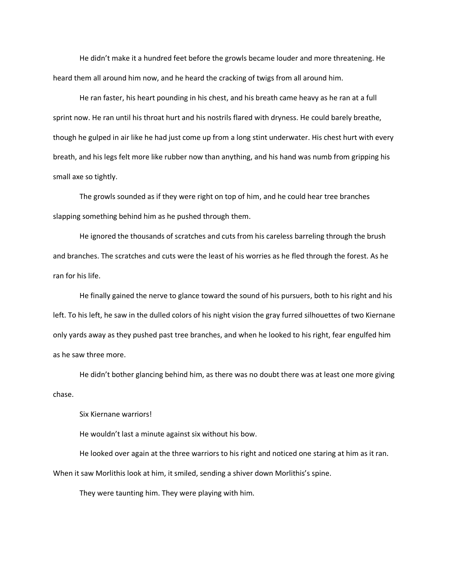He didn't make it a hundred feet before the growls became louder and more threatening. He heard them all around him now, and he heard the cracking of twigs from all around him.

He ran faster, his heart pounding in his chest, and his breath came heavy as he ran at a full sprint now. He ran until his throat hurt and his nostrils flared with dryness. He could barely breathe, though he gulped in air like he had just come up from a long stint underwater. His chest hurt with every breath, and his legs felt more like rubber now than anything, and his hand was numb from gripping his small axe so tightly.

The growls sounded as if they were right on top of him, and he could hear tree branches slapping something behind him as he pushed through them.

He ignored the thousands of scratches and cuts from his careless barreling through the brush and branches. The scratches and cuts were the least of his worries as he fled through the forest. As he ran for his life.

He finally gained the nerve to glance toward the sound of his pursuers, both to his right and his left. To his left, he saw in the dulled colors of his night vision the gray furred silhouettes of two Kiernane only yards away as they pushed past tree branches, and when he looked to his right, fear engulfed him as he saw three more.

He didn't bother glancing behind him, as there was no doubt there was at least one more giving chase.

Six Kiernane warriors!

He wouldn't last a minute against six without his bow.

He looked over again at the three warriors to his right and noticed one staring at him as it ran. When it saw Morlithis look at him, it smiled, sending a shiver down Morlithis's spine.

They were taunting him. They were playing with him.